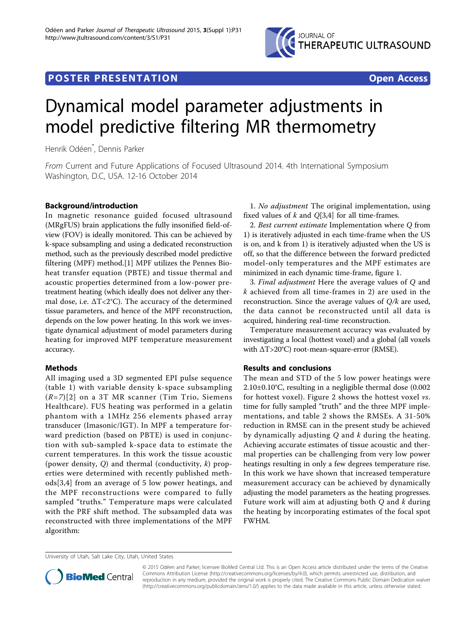

## **POSTER PRESENTATION CONSUMING THE SECOND CONSUMING THE SECOND CONSUMING THE SECOND CONSUMING THE SECOND CONSUMING THE SECOND CONSUMING THE SECOND CONSUMING THE SECOND CONSUMING THE SECOND CONSUMING THE SECOND CONSUMING**



# Dynamical model parameter adjustments in model predictive filtering MR thermometry

Henrik Odéen\* , Dennis Parker

From Current and Future Applications of Focused Ultrasound 2014. 4th International Symposium Washington, D.C, USA. 12-16 October 2014

## Background/introduction

In magnetic resonance guided focused ultrasound (MRgFUS) brain applications the fully insonified field-ofview (FOV) is ideally monitored. This can be achieved by k-space subsampling and using a dedicated reconstruction method, such as the previously described model predictive filtering (MPF) method.[[1\]](#page-2-0) MPF utilizes the Pennes Bioheat transfer equation (PBTE) and tissue thermal and acoustic properties determined from a low-power pretreatment heating (which ideally does not deliver any thermal dose, i.e.  $\Delta T < 2^{\circ}C$ ). The accuracy of the determined tissue parameters, and hence of the MPF reconstruction, depends on the low power heating. In this work we investigate dynamical adjustment of model parameters during heating for improved MPF temperature measurement accuracy.

## Methods

All imaging used a 3D segmented EPI pulse sequence (table [1](#page-1-0)) with variable density k-space subsampling  $(R=7)[2]$  $(R=7)[2]$  on a 3T MR scanner (Tim Trio, Siemens Healthcare). FUS heating was performed in a gelatin phantom with a 1MHz 256 elements phased array transducer (Imasonic/IGT). In MPF a temperature forward prediction (based on PBTE) is used in conjunction with sub-sampled k-space data to estimate the current temperatures. In this work the tissue acoustic (power density,  $Q$ ) and thermal (conductivity,  $k$ ) properties were determined with recently published methods[[3,4](#page-2-0)] from an average of 5 low power heatings, and the MPF reconstructions were compared to fully sampled "truths." Temperature maps were calculated with the PRF shift method. The subsampled data was reconstructed with three implementations of the MPF algorithm:

1. No adjustment The original implementation, using fixed values of  $k$  and  $Q[3,4]$  $Q[3,4]$  $Q[3,4]$  for all time-frames.

2. Best current estimate Implementation where Q from 1) is iteratively adjusted in each time-frame when the US is on, and k from 1) is iteratively adjusted when the US is off, so that the difference between the forward predicted model-only temperatures and the MPF estimates are minimized in each dynamic time-frame, figure [1](#page-1-0).

3. Final adjustment Here the average values of Q and k achieved from all time-frames in 2) are used in the reconstruction. Since the average values of  $Q/k$  are used, the data cannot be reconstructed until all data is acquired, hindering real-time reconstruction.

Temperature measurement accuracy was evaluated by investigating a local (hottest voxel) and a global (all voxels with ΔT>20°C) root-mean-square-error (RMSE).

## Results and conclusions

The mean and STD of the 5 low power heatings were 2.10±0.10°C, resulting in a negligible thermal dose (0.002 for hottest voxel). Figure [2](#page-1-0) shows the hottest voxel vs. time for fully sampled "truth" and the three MPF implementations, and table [2](#page-2-0) shows the RMSEs. A 31-50% reduction in RMSE can in the present study be achieved by dynamically adjusting  $Q$  and  $k$  during the heating. Achieving accurate estimates of tissue acoustic and thermal properties can be challenging from very low power heatings resulting in only a few degrees temperature rise. In this work we have shown that increased temperature measurement accuracy can be achieved by dynamically adjusting the model parameters as the heating progresses. Future work will aim at adjusting both  $Q$  and  $k$  during the heating by incorporating estimates of the focal spot FWHM.

University of Utah, Salt Lake City, Utah, United States



© 2015 Odéen and Parker; licensee BioMed Central Ltd. This is an Open Access article distributed under the terms of the Creative Commons Attribution License [\(http://creativecommons.org/licenses/by/4.0](http://creativecommons.org/licenses/by/4.0)), which permits unrestricted use, distribution, and reproduction in any medium, provided the original work is properly cited. The Creative Commons Public Domain Dedication waiver [\(http://creativecommons.org/publicdomain/zero/1.0/](http://creativecommons.org/publicdomain/zero/1.0/)) applies to the data made available in this article, unless otherwise stated.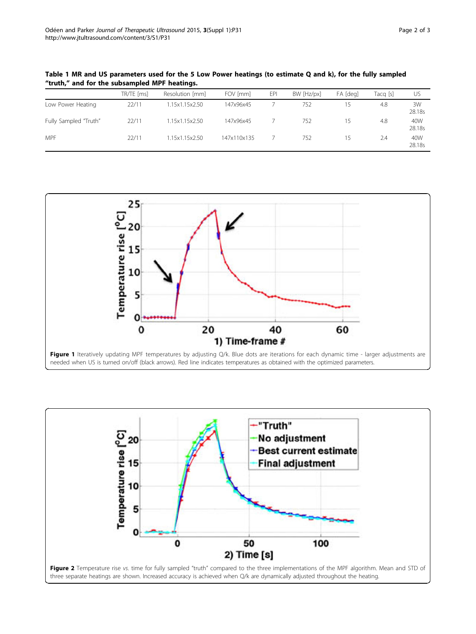|                       | TR/TE [ms] | Resolution [mm] | FOV [mm]    | EPI | BW [Hz/px] | FA [deg]                 | Tacq [s] | US            |
|-----------------------|------------|-----------------|-------------|-----|------------|--------------------------|----------|---------------|
| Low Power Heating     | 22/11      | 1.15x1.15x2.50  | 147x96x45   |     | 752        |                          | 4.8      | 3W<br>28.18s  |
| Fully Sampled "Truth" | 22/11      | 1.15x1.15x2.50  | 147x96x45   |     | 752        | $\overline{\phantom{a}}$ | 4.8      | 40W<br>28.18s |
| <b>MPF</b>            | 22/11      | 1.15x1.15x2.50  | 147x110x135 |     | 752        | $\overline{\phantom{a}}$ | 2.4      | 40W<br>28.18s |

<span id="page-1-0"></span>Table 1 MR and US parameters used for the 5 Low Power heatings (to estimate Q and k), for the fully sampled "truth," and for the subsampled MPF heatings.